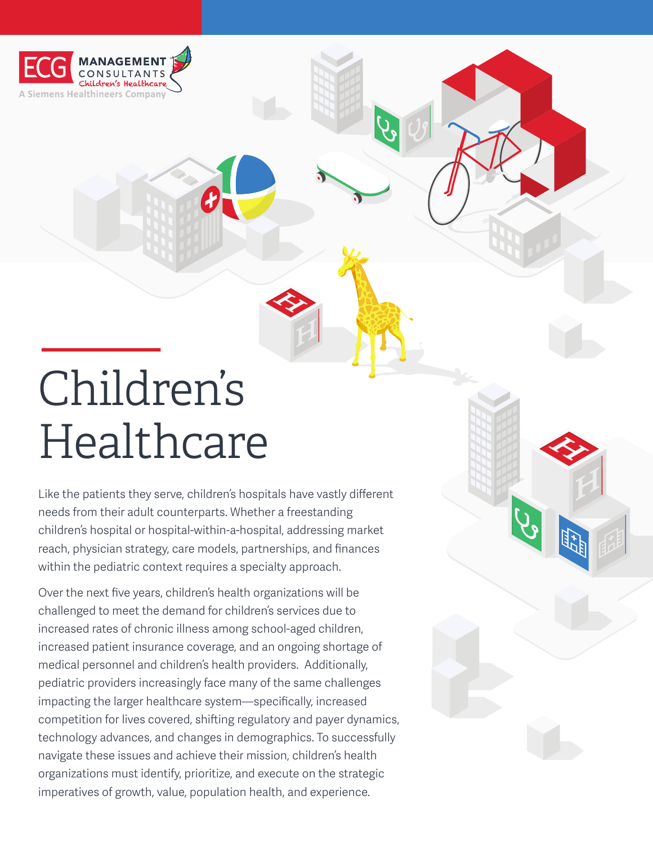

# Children's Healthcare

Like the patients they serve, children's hospitals have vastly different needs from their adult counterparts. Whether a freestanding children's hospital or hospital-within-a-hospital, addressing market reach, physician strategy, care models, partnerships, and finances within the pediatric context requires a specialty approach.

**H**

**H**

Over the next five years, children's health organizations will be challenged to meet the demand for children's services due to increased rates of chronic illness among school-aged children, increased patient insurance coverage, and an ongoing shortage of medical personnel and children's health providers. Additionally, pediatric providers increasingly face many of the same challenges impacting the larger healthcare system—specifically, increased competition for lives covered, shifting regulatory and payer dynamics, technology advances, and changes in demographics. To successfully navigate these issues and achieve their mission, children's health organizations must identify, prioritize, and execute on the strategic imperatives of growth, value, population health, and experience.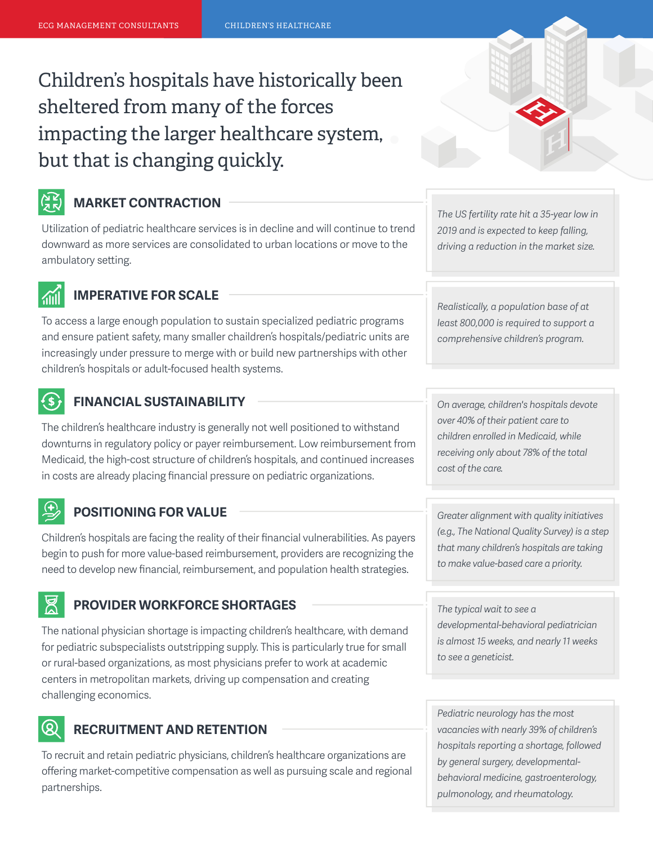## Children's hospitals have historically been sheltered from many of the forces impacting the larger healthcare system, but that is changing quickly.



#### **MARKET CONTRACTION**

Utilization of pediatric healthcare services is in decline and will continue to trend downward as more services are consolidated to urban locations or move to the ambulatory setting.



#### **IMPERATIVE FOR SCALE**

To access a large enough population to sustain specialized pediatric programs and ensure patient safety, many smaller chaildren's hospitals/pediatric units are increasingly under pressure to merge with or build new partnerships with other children's hospitals or adult-focused health systems.

#### $($ \$ $)$ **FINANCIAL SUSTAINABILITY**

The children's healthcare industry is generally not well positioned to withstand downturns in regulatory policy or payer reimbursement. Low reimbursement from Medicaid, the high-cost structure of children's hospitals, and continued increases in costs are already placing financial pressure on pediatric organizations.

#### **POSITIONING FOR VALUE** *Greater alignment with quality initiatives*

Children's hospitals are facing the reality of their financial vulnerabilities. As payers begin to push for more value-based reimbursement, providers are recognizing the need to develop new financial, reimbursement, and population health strategies.

#### **PROVIDER WORKFORCE SHORTAGES**

The national physician shortage is impacting children's healthcare, with demand for pediatric subspecialists outstripping supply. This is particularly true for small or rural-based organizations, as most physicians prefer to work at academic centers in metropolitan markets, driving up compensation and creating challenging economics.

#### $\left( \infty \right)$ **RECRUITMENT AND RETENTION**

To recruit and retain pediatric physicians, children's healthcare organizations are offering market-competitive compensation as well as pursuing scale and regional partnerships.

**H**

*The US fertility rate hit a 35-year low in 2019 and is expected to keep falling, driving a reduction in the market size.*

*Realistically, a population base of at least 800,000 is required to support a comprehensive children's program.*

*On average, children's hospitals devote over 40% of their patient care to children enrolled in Medicaid, while receiving only about 78% of the total cost of the care.*

*(e.g., The National Quality Survey) is a step that many children's hospitals are taking to make value-based care a priority.* 

*The typical wait to see a developmental-behavioral pediatrician is almost 15 weeks, and nearly 11 weeks to see a geneticist.*

*Pediatric neurology has the most vacancies with nearly 39% of children's hospitals reporting a shortage, followed by general surgery, developmentalbehavioral medicine, gastroenterology, pulmonology, and rheumatology.*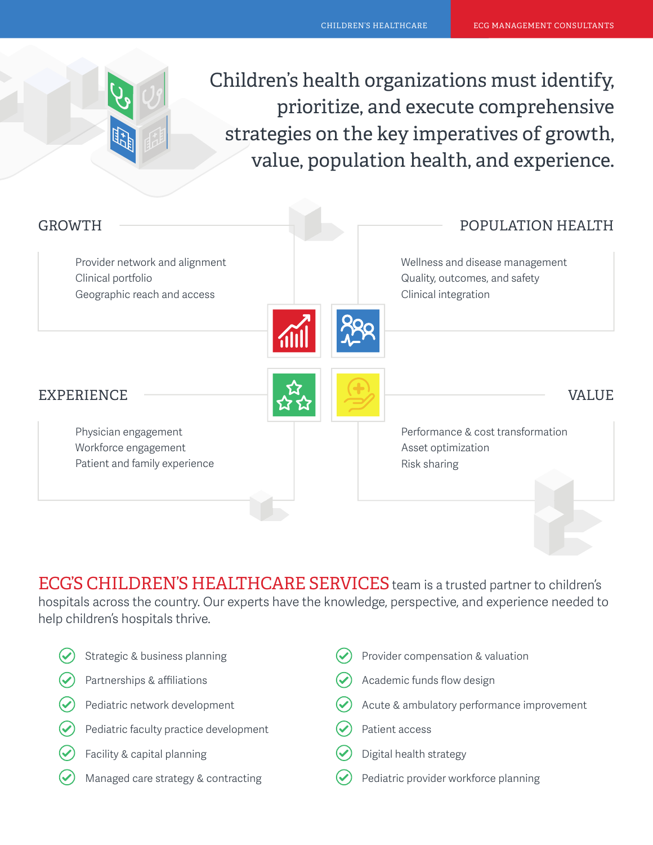Children's health organizations must identify, prioritize, and execute comprehensive strategies on the key imperatives of growth, value, population health, and experience.

| <b>GROWTH</b>                                                                       | POPULATION HEALTH                                                                        |
|-------------------------------------------------------------------------------------|------------------------------------------------------------------------------------------|
| Provider network and alignment<br>Clinical portfolio<br>Geographic reach and access | Wellness and disease management<br>Quality, outcomes, and safety<br>Clinical integration |
|                                                                                     |                                                                                          |
| <b>EXPERIENCE</b>                                                                   | VALUE                                                                                    |
| Physician engagement                                                                | Performance & cost transformation                                                        |
| Workforce engagement<br>Patient and family experience                               | Asset optimization<br>Risk sharing                                                       |
|                                                                                     |                                                                                          |

ECG'S CHILDREN'S HEALTHCARE SERVICES team is a trusted partner to children's hospitals across the country. Our experts have the knowledge, perspective, and experience needed to help children's hospitals thrive.

| Strategic & business planning          |                      | Provider compensation & valuation          |
|----------------------------------------|----------------------|--------------------------------------------|
| Partnerships & affiliations            |                      | Academic funds flow design                 |
| Pediatric network development          | $(\checkmark)$       | Acute & ambulatory performance improvement |
| Pediatric faculty practice development |                      | Patient access                             |
| Facility & capital planning            |                      | Digital health strategy                    |
| Managed care strategy & contracting    | $\blacktriangledown$ | Pediatric provider workforce planning      |
|                                        |                      |                                            |